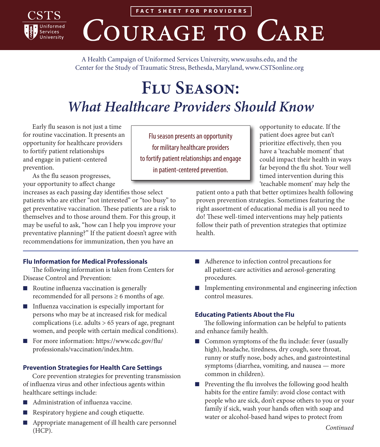

**FACT SHEET FOR PROVIDERS**

# COURAGE TO CARE

A Health Campaign of Uniformed Services University, [www.usuhs.edu,](http://www.usuhs.edu) and the Center for the Study of Traumatic Stress, Bethesda, Maryland, [www.CSTSonline.org](http://www.cstsonline.org)

## **Flu Season:**  *What Healthcare Providers Should Know*

Early flu season is not just a time for routine vaccination. It presents an opportunity for healthcare providers to fortify patient relationships and engage in patient-centered prevention.

As the flu season progresses, your opportunity to affect change

increases as each passing day identifies those select patients who are either "not interested" or "too busy" to get preventative vaccination. These patients are a risk to themselves and to those around them. For this group, it may be useful to ask, "how can I help you improve your preventative planning?" If the patient doesn't agree with recommendations for immunization, then you have an

### **Flu Information for Medical Professionals**

The following information is taken from Centers for Disease Control and Prevention:

- Routine influenza vaccination is generally recommended for all persons  $\geq 6$  months of age.
- Influenza vaccination is especially important for persons who may be at increased risk for medical complications (i.e. adults > 65 years of age, pregnant women, and people with certain medical conditions).
- For more information: [https://www.cdc.gov/flu/](https://www.cdc.gov/flu/professionals/vaccination/index.htm) [professionals/vaccination/index.htm.](https://www.cdc.gov/flu/professionals/vaccination/index.htm)

### **Prevention Strategies for Health Care Settings**

Core prevention strategies for preventing transmission of influenza virus and other infectious agents within healthcare settings include:

- Administration of influenza vaccine.
- Respiratory hygiene and cough etiquette.
- Appropriate management of ill health care personnel (HCP).

Flu season presents an opportunity for military healthcare providers to fortify patient relationships and engage in patient-centered prevention.

opportunity to educate. If the patient does agree but can't prioritize effectively, then you have a 'teachable moment' that could impact their health in ways far beyond the flu shot. Your well timed intervention during this 'teachable moment' may help the

patient onto a path that better optimizes health following proven prevention strategies. Sometimes featuring the right assortment of educational media is all you need to do! These well-timed interventions may help patients follow their path of prevention strategies that optimize health.

- Adherence to infection control precautions for all patient-care activities and aerosol-generating procedures.
- Implementing environmental and engineering infection control measures.

### **Educating Patients About the Flu**

The following information can be helpful to patients and enhance family health.

- Common symptoms of the flu include: fever (usually high), headache, tiredness, dry cough, sore throat, runny or stuffy nose, body aches, and gastrointestinal symptoms (diarrhea, vomiting, and nausea — more common in children).
- Preventing the flu involves the following good health habits for the entire family: avoid close contact with people who are sick, don't expose others to you or your family if sick, wash your hands often with soap and water or alcohol-based hand wipes to protect from